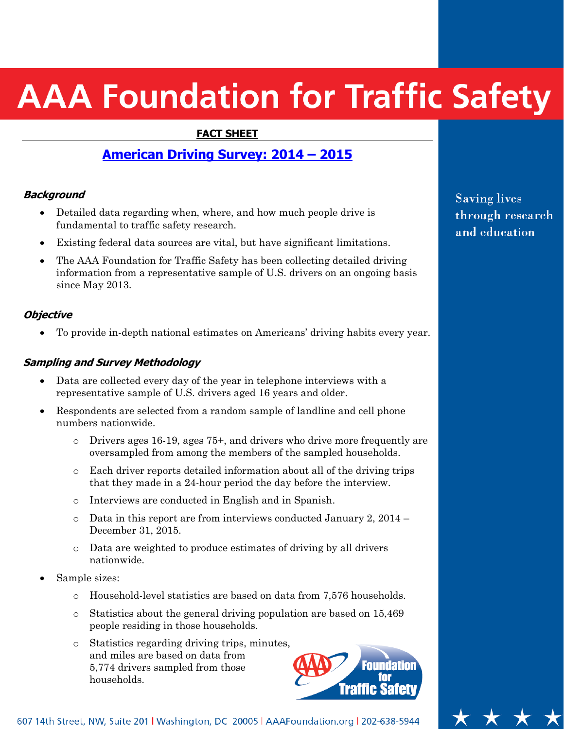# **AAA Foundation for Traffic Safety**

#### **FACT SHEET**

## **American Driving Survey: 2014 – 2015**

#### **Background**

- Detailed data regarding when, where, and how much people drive is fundamental to traffic safety research.
- Existing federal data sources are vital, but have significant limitations.
- The AAA Foundation for Traffic Safety has been collecting detailed driving information from a representative sample of U.S. drivers on an ongoing basis since May 2013.

#### **Objective**

To provide in-depth national estimates on Americans' driving habits every year.

#### **Sampling and Survey Methodology**

- Data are collected every day of the year in telephone interviews with a representative sample of U.S. drivers aged 16 years and older.
- Respondents are selected from a random sample of landline and cell phone numbers nationwide.
	- o Drivers ages 16-19, ages 75+, and drivers who drive more frequently are oversampled from among the members of the sampled households.
	- o Each driver reports detailed information about all of the driving trips that they made in a 24-hour period the day before the interview.
	- o Interviews are conducted in English and in Spanish.
	- $\circ$  Data in this report are from interviews conducted January 2, 2014 December 31, 2015.
	- o Data are weighted to produce estimates of driving by all drivers nationwide.
- Sample sizes:
	- o Household-level statistics are based on data from 7,576 households.
	- o Statistics about the general driving population are based on 15,469 people residing in those households.
	- o Statistics regarding driving trips, minutes, and miles are based on data from 5,774 drivers sampled from those households.



607 14th Street, NW, Suite 201 | Washington, DC 20005 | AAAFoundation.org | 202-638-5944

**Saving lives** through research and education